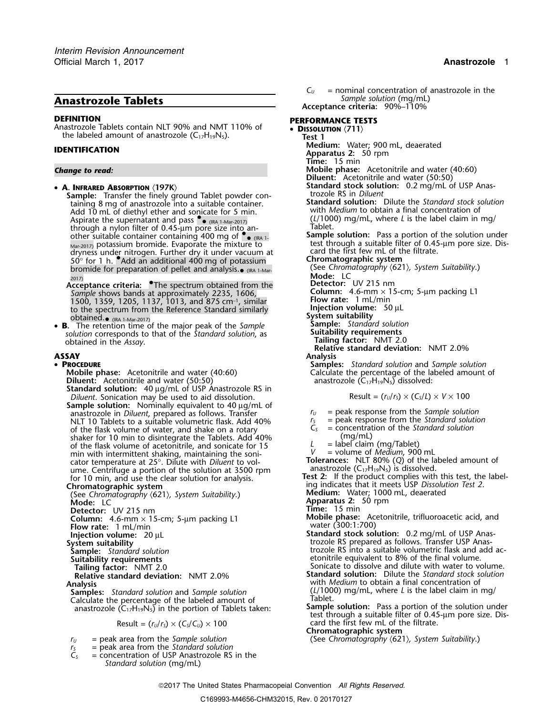# **DEFINITION PERFORMANCE TESTS**

Anastrozole Tablets contain NLT 90% and NMT 110% of **• Dissolution**  $\langle 711 \rangle$ the labeled amount of anastrozole  $(C_{17}H_{19}N_5)$ . **Test 1** 

• A. INFRARED ABSORPTION (197K)

**Sample:** Transfer the finely ground Tablet powder con- trozole RS in *Diluent* taining 8 mg of anastrozole into a suitable container. **Standard solution:** Dilute the *Standard stock solution* Add 10 mL of diethyl ether and sonicate for 5 min.<br>Aspirate the supernatant and pass  $\bullet$  (RA 1 Mar 2017) (L/1000) mg/mL, where L is the label claim in mg/ Aspirate the supernatant and pass • (*L*/1000) mg/mL, where *L* is the label claim in mg/<br>through a nylon filter of 0.45-µm pore size into another suitable container containing 400 mg of  $\bullet$  <sub>(IRA 1</sub>) Sample solution: Pass a portion of the solution under dryness under nitrogen. Further dry it under vacuum at card the first few mL of the filtrate. <sup>50</sup>° for 1 h. •.Add an additional 400 mg of potassium **Chromatographic system** bromide for preparation of pellet and analysis.<sub>• (IRA 1-Mar-</sub> See *Chromatography (621), System Suitability*.) 2017) **Mode:** LC

**Acceptance criteria:** The spectrum obtained from the **Detector:** UV 215 nm *Sample* shows bands at approximately 2235, 1606, **Column:** 4.6-mm × 15-cm; 5-µm packing L1 1500, 1359, 1205, 1137, 1013, and 875 cm–1., similar **Flow rate:**<sup>1</sup> mL/min to the spectrum from the Reference Standard similarly **Injection volume:** 50 µL<br>obtained.<br>**e** (Re LMar-2017) **obtained.** (IRA 1-Mar-2017) **System suitability System suitability** 

• **<sup>B</sup>.** The retention time of the major peak of the *Sample* **Sample:** *Standard solution* **Suitable 19 Suitability requirements**<br> **Suitability requirements** *solution* corresponds to that of the *Standard solution*, as **Suitability requirements** obtained in the *Assay*. **Tailing factor:** NMT 2.0

### • PROCEDURE

**Mobile phase:** Acetonitrile and water (40:60) Calculate the percentage of the labeled amount of **Diluent:** Acetonitrile and water (50:50) Calculate the percentage of the labeled amount of anastrozole (C<sub>17</sub>H<sub>19</sub>N<sub>5</sub>) diss **Diluent:** Acetonitrile and water (50:50) anastrozole (C17H19N5) dissolved: **Standard solution:** 40 µg/mL of USP Anastrozole RS in *Diluent.* Sonication may be used to aid dissolution. **Sample solution:** Nominally equivalent to 40 µg/mL of anastrozole in *Diluent*, prepared as follows. Transfer  $r_U =$  peak response from the *Sample solution*<br>NLT 10 Tablets to a suitable volumetric flask. Add 40%  $r_S =$  peak response from the *Standard solution* NLT 10 Tablets to a suitable volumetric flask. Add 40% of the flask volume of water, and shake on a rotary *<sup>C</sup><sup>S</sup>* = concentration of the *Standard solution* shaker for 10 min to disintegrate the Tablets. Add 40% (mg/mL)<br>of the flask volume of acetonitrile, and sonicate for 15  $L =$  label claim (mg/Tablet) of the flask volume of acetonitrile, and sonicate for 15  $L =$  label claim (mg/Tablet)<br>min with intermittent shaking, maintaining the soni-  $V =$  volume of *Medium*, 900 mL min with intermittent shaking, maintaining the soni-<br>
cator temperature at 25°. Dilute with *Diluent* to vol-<br> **Tolerances:** NLT 80% (Q) of the labeled amount of cator temperature at 25°. Dilute with *Diluent* to vol-<br>ume. Centrifuge a portion of the solution at 3500 rpm anastrozole (C<sub>17</sub>H<sub>19</sub>N<sub>5</sub>) is dissolved. ume. Centrifuge a portion of the solution at 3500 rpm for 10 min, and use the clear solution for analysis. **Chromatographic system** ing indicates that it meets USP *Dissolution Test 2*. (See *Chromatography* 〈621〉*, System Suitability*.) **Medium:** Water; 1000 mL, deaerated **Detector:** UV 215 nm **Time:** 15 min

- 
- 
- 
- 

Calculate the percentage of the labeled amount of **Sample Solution:** Pass a portion of the solution under anastrozole ( $C_{17}H_{19}N_5$ ) in the portion of Tablets taken: **Sample solution:** Pass a portion of the solution un

- 
- $r_s$  = peak area from the *Standard solution*<br> $C_s$  = concentration of USP Anastrozole RS
- = concentration of USP Anastrozole RS in the *Standard solution* (mg/mL)

 $C_U$  = nominal concentration of anastrozole in the **Anastrozole Tablets** *Sample solution* (mg/mL) **Acceptance criteria:** 90%–110%

- **Medium:** Water; 900 mL, deaerated **IDENTIFICATION Apparatus 2:** 50 rpm
	-
	- **Time:** 15 min
- *Change to read:* **Mobile phase:** Acetonitrile and water (40:60)
	- **Diluent:** Acetonitrile and water (50:50)
	- **Standard stock solution:** 0.2 mg/mL of USP Anastrozole RS in *Diluent*
	-
	- Some state of the mixture to the mixture to the test through a suitable filter of 0.45-µm pore size. Dis-<br>Mar-2017) potassium bromide. Evaporate the mixture to the first few mL of the filtrate.
		-
		-
		-
		-
		-
		-
		-
		-
		- **Tailing factor:** NMT 2.0
		- **Relative standard deviation:** NMT 2.0%

**ASSAY Analysis**

**Samples:** *Standard solution* and *Sample solution* 

Result = 
$$
(r_U/r_S) \times (C_S/L) \times V \times 100
$$

- 
- 
- 
- 
- 
- 
- 
- for 10 min, and use the clear solution for analysis. **Test 2:** If the product complies with this test, the label-
	-
	- **Mode:** LC **Apparatus 2:** 50 rpm
	-
- **Column:** 4.6-mm × 15-cm; 5-µm packing L1 **Mobile phase:** Acetonitrile, trifluoroacetic acid, and **Mobile phase:** Acetonitrile, trifluoroacetic acid, and **Flow rate:** 1 mL/min
- **Flow rate:** water (300:1:700) 1 mL/min **Standard stock solution:** 0.2 mg/mL of USP Anas- **Injection volume:**<sup>20</sup> <sup>µ</sup><sup>L</sup> **System suitability** the summary strong as trozole RS prepared as follows. Transfer USP Anas-**System suitability**<br> **Sample:** *Standard solution* trozole RS into a suitable volumetric flask and add ac-<br> **Suitability requirements** the suitable volumetric flask and add ac-<br> **Suitability requirements** the summer setti etonitrile equivalent to 8% of the final volume.
- **Tailing factor:** NMT 2.0<br> **Relative standard deviation:** NMT 2.0%<br> **Standard solution:** Dilute the *Standard stock solution*: NMT 2.0%<br> **Standard solution:** Dilute the *Standard stock solution* **Standard solution:** Dilute the *Standard stock solution* **Analysis** with *Medium* to obtain a final concentration of **Samples:** *Standard solution* and *Sample solution* (*L*/1000) mg/mL, where *L* is the label claim in mg/ <br>Calculate the percentage of the labeled amount of **Tablet**.
	- test through a suitable filter of 0.45-µm pore size. Dis-Result =  $(r_0/r_s) \times (C_s/C_v) \times 100$  card the first few mL of the filtrate.

**Chromatographic system**

*<sup>r</sup><sup>U</sup>* = peak area from the *Sample solution* (See *Chromatography* 〈621〉*, System Suitability*.)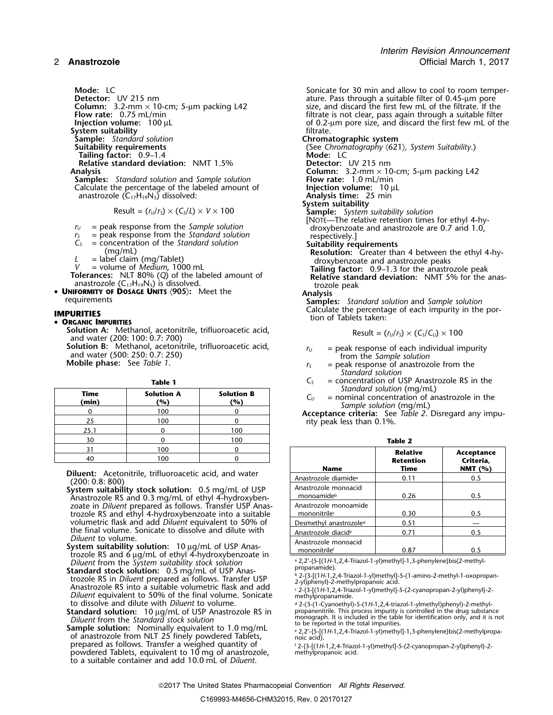*Interim Revision Announcement* 2 **Anastrozole** Official March 1, 2017

**System suitability** filtrate.<br> **Sample:** Standard solution **filtrate.**<br> **Chromatographic system Sample:** *Standard solution*<br>**Suitability requirements Tailing factor:** 0.9–1.4 **Relative standard deviation:** NMT 1.5%

**Samples:** *Standard solution* and *Sample solution* **Flow rate:** 1.0 mL/min Calculate the percentage of the labeled amount of **Flow rate:** 10 mL/min The Calculate the percentage of the labeled amount of **Injection volume:** 10 µCalculate the percentage of the labeled amount of **Injection volume:** 10 µCanastrozole (C<sub>17</sub>H<sub>19</sub>N<sub>5</sub>) dissolved: **Instance 10 µCanastrozole 10** anastrozole (C<sub>17</sub>H<sub>19</sub>N<sub>5</sub>) dissolved: **Analysis time:** 2<br>**Analysis time:** 25 mastrozole (C<sub>17</sub>H<sub>19</sub>N<sub>5</sub>) dissolved: **15 minutes:** 25 mastrozole (C<sub>17</sub>H<sub>19</sub>N<sub>5</sub>)

$$
Result = (r_U/r_S) \times (C_S/L) \times V \times 100
$$

- 
- 
- 

anastrozole  $(C_{17}H_{19}N_5)$  is dissolved.<br>**FORMITY OF DOSAGE UNITS**  $\langle 905 \rangle$ : Meet the **the** Analysis • **<sup>U</sup>NIFORMITY OF DOSAGE UNITS** 〈**905**〉**:** Meet the **Analysis**

•**ORGANIC IMPURITIES**

**Solution A:** Methanol, acetonitrile, trifluoroacetic acid,  $\qquad$  Result = ( $r_u/r_s$ ) × (Cs/C $_u$ ) × 100 and water (200: 100: 0.7: 700) **Solution B:** Methanol, acetonitrile, trifluoroacetic acid,  $r_U =$  peak response of each individual impurity and water (500: 250: 0.7: 250)<br>and water (500: 250: 0.7: 250) and water (500: 250: 11) and water of stripuping th

| Standard solution (n<br>= nominal concentratio<br>Sample solution (mg | <b>Solution B</b><br>(%) | <b>Solution A</b><br>(%) | Time<br>(min) |
|-----------------------------------------------------------------------|--------------------------|--------------------------|---------------|
| <b>Acceptance criteria:</b> See Tab                                   |                          | 100                      |               |
| rity peak less than 0.1%.                                             |                          | 100                      |               |
|                                                                       | 100                      |                          | 25.1          |
| <b>Table 2</b>                                                        | 100                      |                          | 30            |
| Relat                                                                 |                          | 100                      |               |
| <b>Reten</b>                                                          |                          | 00 ا                     |               |

**Diluent:** Acetonitrile, trifluoroacetic acid, and water (200: 0.8: 800)

- **System suitability stock solution:** 0.5 mg/mL of USP Anastrozole RS and 0.3 mg/mL of ethyl 4-hydroxybenzoate in *Diluent* prepared as follows. Transfer USP Anas- Anastrozole monoamide trozole RS and ethyl 4-hydroxybenzoate into a suitable  $\qquad \begin{array}{ccc} \Box & \Box \ \Box & \Box \ \Box \ \Box \ \Box \ \Box \ \end{array}$  0.30  $\qquad \qquad$  0.50 volumetric flask and add *Diluent* equivalent to 50% of the final volume. Sonicate to dissolve and dilute with *Diluent* to volume.
- System suitability solution: 10 µg/mL of USP Anas-Figure 1.0.87 1.000 Solution: The payment of Substitute in  $\frac{1}{2}$  mononitrile<sup>6</sup> 1.000 nm 0.87 1.000 nm 0.5 trozole RS and 6 µg/mL of ethyl 4-hydroxybenzoate in
- **Example 12** Solution: U.S Highlin Of OSP Atlas-<br>trozole RS in *Diluent* prepared as follows. Transfer USP  $\frac{b}{2}$ -{3-[(1*H*-1,2,4-Triazol-1-yl)methyl]-5-(1-amino-2-methyl-1-oxopropan-<br>Anastrozole RS into a suitable vol Anastrozole RS into a suitable volumetric flask and add<br>*Diluent* equivalent to 50% of the final volume. Sonicate methylpropanamide. to dissolve and dilute with *Diluent* to volume.

prepared as follows. Transfer a weighed quantity of powdered Tablets, equivalent to  $10 \text{ mg}$  of anastrozole, to a suitable container and add 10.0 mL of *Diluent*.

**Mode:** LC<br>**Detector:** UV 215 nm<br>**Detector:** UV 215 nm<br>**Sonicate for 30 min and allow to cool to room temper-**<br>ature. Pass through a suitable filter of 0.45-µm pore **Detector:** UV 215 nm<br> **Column:** 3.2-mm × 10-cm; 5-µm packing L42 size, and discard the first few mL of the filtrate. If the **Column:** 3.2-mm × 10-cm; 5-µm packing L42 size, and discard the first few mL of the filtrate. If the **Flow rate:** 0.75 mL/min<br>**Flow rate:** 0.75 mL/min filtrate is not clear, pass again through a suitable filter<br>of 0.2-µm **Flow rate:** 0.75 mL/min filtrate is not clear, pass again through a suitable filter **Injection volume:** 100 µL of 0.2-µm pore size, and discard the first few mL of the

(See Chromatography  $\langle 621 \rangle$ , System Suitability.)<br>**Mode:** LC **Analysis**<br> **Analysis**<br> **Analysis**<br> **Column:** 3.2-mm × 10-cm; 5-µm packing L42<br> **Column:** 3.2-mm × 10-cm; 5-µm packing L42<br> **Column:** 3.2-mm × 10-cm; 5-µm packing L42  $S$ ample: *System suitability solution* [NOTE-The relative retention times for ethyl 4-hy $r<sub>U</sub>$  = peak response from the *Sample solution*<br> $r<sub>S</sub>$  = peak response from the *Standard solution*<br>respectively.]  $\mathcal{L}$  = concentration of the Standard solution<br>
(mg/mL)<br>  $\mathcal{L}$  = label claim (mg/Tablet)<br>  $\mathcal{V}$  = volume of *Medium*, 1000 mL<br>
Tolerances: NLT 80% (Q) of the labeled amount of<br>
Tailing factor: 0.9–1.3 for the ana requirements **Samples:** *Standard solution* and *Sample solution* **IMPURITIES**<br> **IMPURITIES** Calculate the percentage of each impurity in the por-<br> **IMPURITIES** 

$$
Result = (r_U/r_S) \times (C_S/C_U) \times 100
$$

- 
- *Standard solution*
- **Table 1** *C<sub>S</sub>* = concentration of USP Anastrozole RS in the Standard solution (mg/mL)
	- $C_U$  = nominal concentration of anastrozole in the<br>Sample solution (mg/mL)<br>**Acceptance criteria:** See Table 2. Disregard any impu-

rity peak less than 0.1%.

| υU                    |                                                                                                                             | i vv                                                                                                              | Table 2                               |                  |            |
|-----------------------|-----------------------------------------------------------------------------------------------------------------------------|-------------------------------------------------------------------------------------------------------------------|---------------------------------------|------------------|------------|
| 31                    | 100                                                                                                                         |                                                                                                                   |                                       | <b>Relative</b>  | Acceptance |
| 40                    | 100                                                                                                                         |                                                                                                                   |                                       | <b>Retention</b> | Criteria,  |
|                       |                                                                                                                             |                                                                                                                   | <b>Name</b>                           | Time             | NMT $(% )$ |
| 9:0.8:800             | nt: Acetonitrile, trifluoroacetic acid, and water                                                                           |                                                                                                                   | Anastrozole diamide <sup>a</sup>      | 0.11             | 0.5        |
|                       | <b>m suitability stock solution:</b> 0.5 mg/mL of USP<br>trozole RS and 0.3 mg/mL of ethyl 4-hydroxyben-                    |                                                                                                                   | Anastrozole monoacid<br>monoamideb    | 0.26             | 0.5        |
|                       |                                                                                                                             | e in <i>Diluent</i> prepared as follows. Transfer USP Anas-<br>ble RS and ethyl 4-hydroxybenzoate into a suitable | Anastrozole monoamide<br>mononitrilec | 0.30             | 0.5        |
|                       | metric flask and add Diluent equivalent to 50% of                                                                           |                                                                                                                   | Desmethyl anastrozole <sup>d</sup>    | 0.51             |            |
|                       | inal volume. Sonicate to dissolve and dilute with                                                                           |                                                                                                                   | Anastrozole diacid <sup>e</sup>       | 0.71             | 0.5        |
| <i>ent</i> to volume. | $m$ suitability solution: $10 \mu q/mL$ of USP Anas-<br>$\alpha$ RS and $\beta$ un/ml of athyl $\Delta$ -hydrovyhenzoate in |                                                                                                                   | Anastrozole monoacid<br>mononitrilef  | 0.87             | 0.5        |

a *Diluent* from the *System suitability stock solution* **by the analyzical propanamide). Standard stock solution:** 0.5 mg/mL of USP Anas-<br>
propanamide). **propanamidel** by the *propanamide* by the *propanamide* of the *p* 

to dissolve and dilute with *Diluent* to volume.<br>**Standard solution:** 10 μg/mL of USP Anastrozole RS in propanenitrile. This process impurity is controlled in the drug substance *Diluent* from the *Standard* stock solution<br>
Sample solution: Nominally equivalent to 1.0 mg/mL<br>
sample solution: Nominally equivalent to 1.0 mg/mL<br>
servences of the total impurited.

ample solution: Trommany equivalent to 1.0 mg/m2<br>of anastrozole from NLT 25 finely powdered Tablets, noic acid).

. 2-{3-[(1*H*-1,2,4-Triazol-1-yl)methyl]-5-(2-cyanopropan-2-yl)phenyl}-2-

2017 The United States Pharmacopeial Convention *All Rights Reserved.*